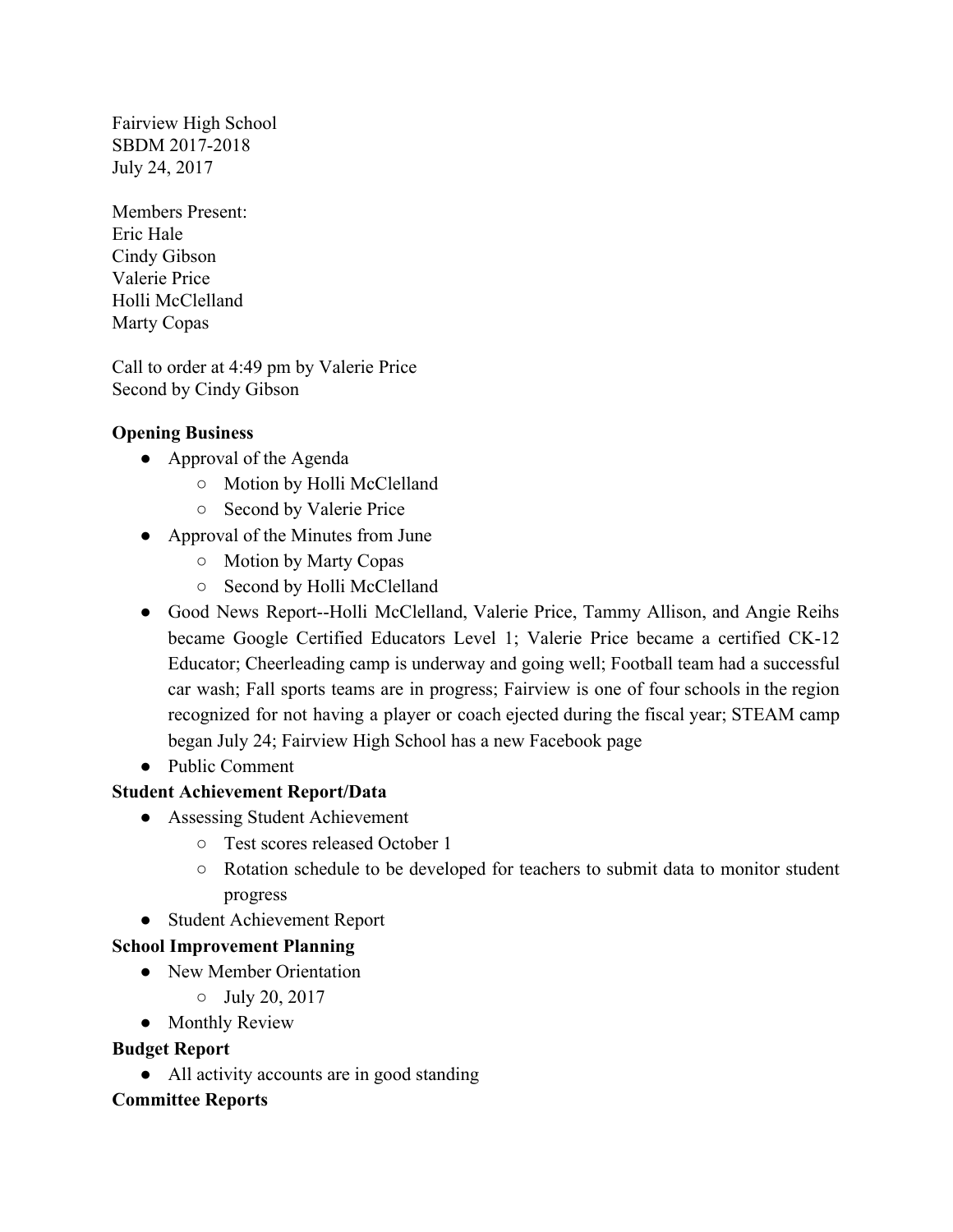Fairview High School July 24, 2017 SBDM 2017-2018

Members Present: Eric Hale Cindy Gibson Valerie Price Holli McClelland Marty Copas

 Call to order at 4:49 pm by Valerie Price Second by Cindy Gibson

#### **Opening Business**

- ● Approval of the Agenda
	- Motion by Holli McClelland
	- Second by Valerie Price
- Approval of the Minutes from June
	- Motion by Marty Copas
	- Second by Holli McClelland
- ● Good News Report--Holli McClelland, Valerie Price, Tammy Allison, and Angie Reihs became Google Certified Educators Level 1; Valerie Price became a certified CK-12 Educator; Cheerleading camp is underway and going well; Football team had a successful car wash; Fall sports teams are in progress; Fairview is one of four schools in the region recognized for not having a player or coach ejected during the fiscal year; STEAM camp began July 24; Fairview High School has a new Facebook page
- Public Comment

## **Student Achievement Report/Data**

- Assessing Student Achievement
	- Test scores released October 1
	- ○ Rotation schedule to be developed for teachers to submit data to monitor student progress
- Student Achievement Report

## **School Improvement Planning**

- New Member Orientation
	- July 20, 2017
- Monthly Review

## **Budget Report**

● All activity accounts are in good standing

## **Committee Reports**